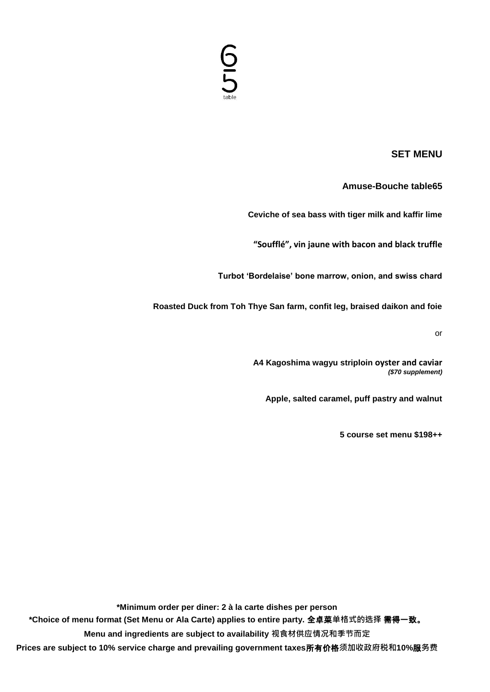# <u>6</u><br>5

### **SET MENU**

#### **Amuse-Bouche table65**

**Ceviche of sea bass with tiger milk and kaffir lime**

**"Soufflé", vin jaune with bacon and black truffle**

**Turbot 'Bordelaise' bone marrow, onion, and swiss chard**

**Roasted Duck from Toh Thye San farm, confit leg, braised daikon and foie**

or

**A4 Kagoshima wagyu striploin oyster and caviar** *(\$70 supplement)*

**Apple, salted caramel, puff pastry and walnut**

**5 course set menu \$198++**

**\*Minimum order per diner: 2 à la carte dishes per person \*Choice of menu format (Set Menu or Ala Carte) applies to entire party.** 全卓菜**单格式的选择** 需得一致。 **Menu and ingredients are subject to availability 视食材供应情况和季节而定 Prices are subject to 10% service charge and prevailing government taxes**所有价格**须加收政府税和10%**服**务费**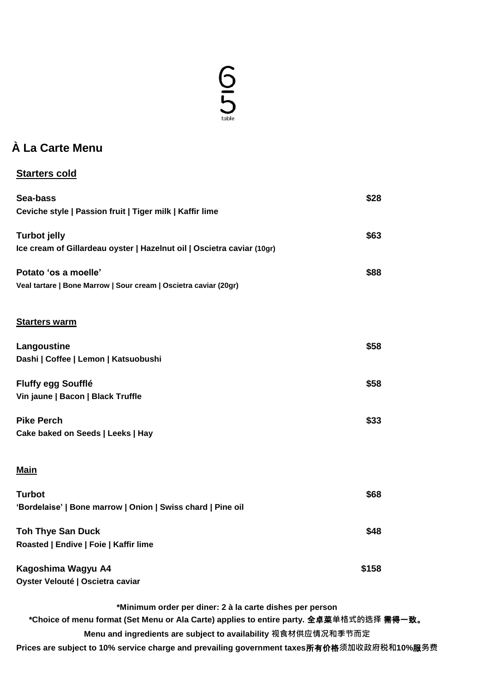## $65$

## **À La Carte Menu**

## **Starters cold**

| Sea-bass                                                               | \$28  |
|------------------------------------------------------------------------|-------|
| Ceviche style   Passion fruit   Tiger milk   Kaffir lime               |       |
| <b>Turbot jelly</b>                                                    | \$63  |
| Ice cream of Gillardeau oyster   Hazelnut oil   Oscietra caviar (10gr) |       |
| Potato 'os a moelle'                                                   | \$88  |
| Veal tartare   Bone Marrow   Sour cream   Oscietra caviar (20gr)       |       |
| <b>Starters warm</b>                                                   |       |
| Langoustine                                                            | \$58  |
| Dashi   Coffee   Lemon   Katsuobushi                                   |       |
| <b>Fluffy egg Soufflé</b>                                              | \$58  |
| Vin jaune   Bacon   Black Truffle                                      |       |
| <b>Pike Perch</b>                                                      | \$33  |
| Cake baked on Seeds   Leeks   Hay                                      |       |
| <b>Main</b>                                                            |       |
| <b>Turbot</b>                                                          | \$68  |
| 'Bordelaise'   Bone marrow   Onion   Swiss chard   Pine oil            |       |
| <b>Toh Thye San Duck</b>                                               | \$48  |
| Roasted   Endive   Foie   Kaffir lime                                  |       |
| Kagoshima Wagyu A4                                                     | \$158 |
| Oyster Velouté   Oscietra caviar                                       |       |

**\*Minimum order per diner: 2 à la carte dishes per person**

**\*Choice of menu format (Set Menu or Ala Carte) applies to entire party.** 全卓菜**单格式的选择** 需得一致。

**Menu and ingredients are subject to availability 视食材供应情况和季节而定**

**Prices are subject to 10% service charge and prevailing government taxes**所有价格**须加收政府税和10%**服**务费**